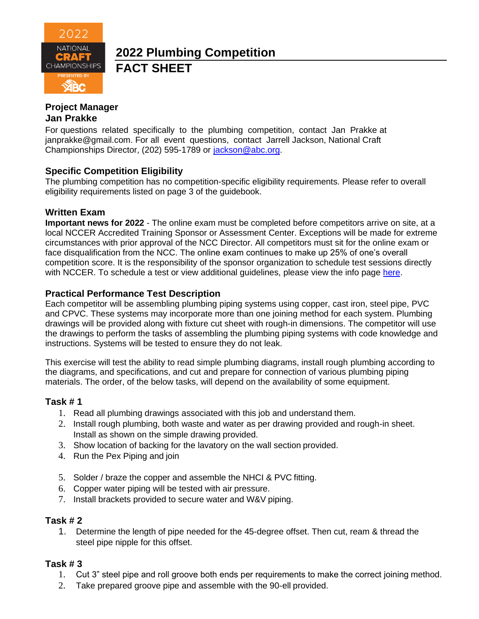

# **2022 Plumbing Competition FACT SHEET**

# **Project Manager**

## **Jan Prakke**

For questions related specifically to the plumbing competition, contact Jan Prakke at [janprakke@gmail.com.](mailto:janprakke@gmail.com) For all event questions, contact Jarrell Jackson, National Craft Championships Director, (202) 595-1789 or [jackson@abc.org.](mailto:jackson@abc.org)

## **Specific Competition Eligibility**

The plumbing competition has no competition-specific eligibility requirements. Please refer to overall eligibility requirements listed on page 3 of the guidebook.

### **Written Exam**

**Important news for 2022** - The online exam must be completed before competitors arrive on site, at a local NCCER Accredited Training Sponsor or Assessment Center. Exceptions will be made for extreme circumstances with prior approval of the NCC Director. All competitors must sit for the online exam or face disqualification from the NCC. The online exam continues to make up 25% of one's overall competition score. It is the responsibility of the sponsor organization to schedule test sessions directly with NCCER. To schedule a test or view additional guidelines, please view the info page [here.](https://abc.org/Portals/1/NCC/National%20Craft%20Championship%20Testing%20Overview%20and%20Registration.pdf?ver=2022-01-31-154655-600)

## **Practical Performance Test Description**

Each competitor will be assembling plumbing piping systems using copper, cast iron, steel pipe, PVC and CPVC. These systems may incorporate more than one joining method for each system. Plumbing drawings will be provided along with fixture cut sheet with rough-in dimensions. The competitor will use the drawings to perform the tasks of assembling the plumbing piping systems with code knowledge and instructions. Systems will be tested to ensure they do not leak.

This exercise will test the ability to read simple plumbing diagrams, install rough plumbing according to the diagrams, and specifications, and cut and prepare for connection of various plumbing piping materials. The order, of the below tasks, will depend on the availability of some equipment.

### **Task # 1**

- 1. Read all plumbing drawings associated with this job and understand them.
- 2. Install rough plumbing, both waste and water as per drawing provided and rough-in sheet. Install as shown on the simple drawing provided.
- 3. Show location of backing for the lavatory on the wall section provided.
- 4. Run the Pex Piping and join
- 5. Solder / braze the copper and assemble the NHCI & PVC fitting.
- 6. Copper water piping will be tested with air pressure.
- 7. Install brackets provided to secure water and W&V piping.

### **Task # 2**

1. Determine the length of pipe needed for the 45-degree offset. Then cut, ream & thread the steel pipe nipple for this offset.

### **Task # 3**

- 1. Cut 3" steel pipe and roll groove both ends per requirements to make the correct joining method.
- 2. Take prepared groove pipe and assemble with the 90-ell provided.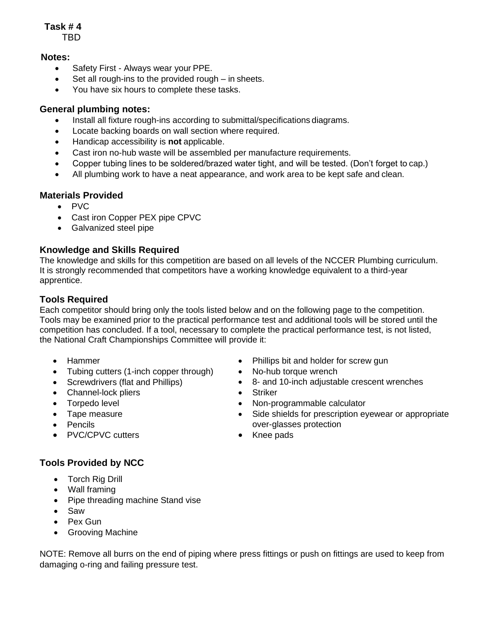# **Task # 4**

TBD

### **Notes:**

- Safety First Always wear your PPE.
- Set all rough-ins to the provided rough  $-$  in sheets.
- You have six hours to complete these tasks.

# **General plumbing notes:**

- Install all fixture rough-ins according to submittal/specifications diagrams.
- Locate backing boards on wall section where required.
- Handicap accessibility is **not** applicable.
- Cast iron no-hub waste will be assembled per manufacture requirements.
- Copper tubing lines to be soldered/brazed water tight, and will be tested. (Don't forget to cap.)
- All plumbing work to have a neat appearance, and work area to be kept safe and clean.

### **Materials Provided**

- PVC
- Cast iron Copper PEX pipe CPVC
- Galvanized steel pipe

# **Knowledge and Skills Required**

The knowledge and skills for this competition are based on all levels of the NCCER Plumbing curriculum. It is strongly recommended that competitors have a working knowledge equivalent to a third-year apprentice.

## **Tools Required**

Each competitor should bring only the tools listed below and on the following page to the competition. Tools may be examined prior to the practical performance test and additional tools will be stored until the competition has concluded. If a tool, necessary to complete the practical performance test, is not listed, the National Craft Championships Committee will provide it:

- Hammer
- Tubing cutters (1-inch copper through)
- Screwdrivers (flat and Phillips)
- Channel-lock pliers
- Torpedo level
- Tape measure
- Pencils
- PVC/CPVC cutters
- Phillips bit and holder for screw gun
- No-hub torque wrench
- 8- and 10-inch adjustable crescent wrenches
- Striker
- Non-programmable calculator
- Side shields for prescription eyewear or appropriate over-glasses protection
- Knee pads

- **Tools Provided by NCC** • Torch Rig Drill
	- Wall framing
	- Pipe threading machine Stand vise
	- Saw
	- Pex Gun
	- Grooving Machine

NOTE: Remove all burrs on the end of piping where press fittings or push on fittings are used to keep from damaging o-ring and failing pressure test.